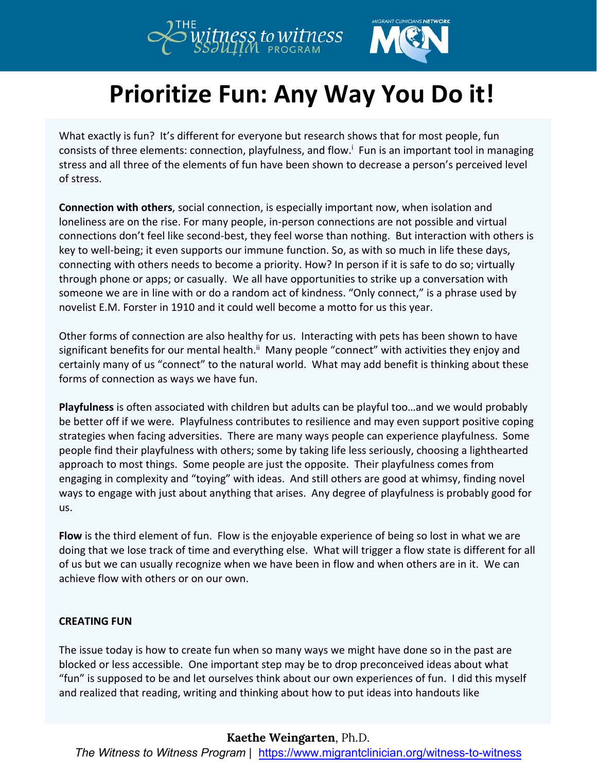

## **Prioritize Fun: Any Way You Do it!**

What exactly is fun? It's different for everyone but research shows that for most people, fun consists of three elements: connection, playfulness, and flow.[i](#page-1-0) Fun is an important tool in managing stress and all three of the elements of fun have been shown to decrease a person's perceived level of stress.

**Connection with others**, social connection, is especially important now, when isolation and loneliness are on the rise. For many people, in-person connections are not possible and virtual connections don't feel like second-best, they feel worse than nothing. But interaction with others is key to well-being; it even supports our immune function. So, as with so much in life these days, connecting with others needs to become a priority. How? In person if it is safe to do so; virtually through phone or apps; or casually. We all have opportunities to strike up a conversation with someone we are in line with or do a random act of kindness. "Only connect," is a phrase used by novelist E.M. Forster in 1910 and it could well become a motto for us this year.

Other forms of connection are also healthy for us. Interacting with pets has been shown to have significant benefits for our mental health.<sup>[ii](#page-1-1)</sup> Many people "connect" with activities they enjoy and certainly many of us "connect" to the natural world. What may add benefit is thinking about these forms of connection as ways we have fun.

**Playfulness** is often associated with children but adults can be playful too…and we would probably be better off if we were. Playfulness contributes to resilience and may even support positive coping strategies when facing adversities. There are many ways people can experience playfulness. Some people find their playfulness with others; some by taking life less seriously, choosing a lighthearted approach to most things. Some people are just the opposite. Their playfulness comes from engaging in complexity and "toying" with ideas. And still others are good at whimsy, finding novel ways to engage with just about anything that arises. Any degree of playfulness is probably good for us.

Flow is the third element of fun. Flow is the enjoyable experience of being so lost in what we are doing that we lose track of time and everything else. What will trigger a flow state is different for all of us but we can usually recognize when we have been in flow and when others are in it. We can achieve flow with others or on our own.

#### **CREATING FUN**

The issue today is how to create fun when so many ways we might have done so in the past are blocked or less accessible. One important step may be to drop preconceived ideas about what "fun" is supposed to be and let ourselves think about our own experiences of fun. I did this myself and realized that reading, writing and thinking about how to put ideas into handouts like

### **Kaethe Weingarten**, Ph.D.

*The Witness to Witness Program* |https://www.migrantclinician.org/witness-to-witness